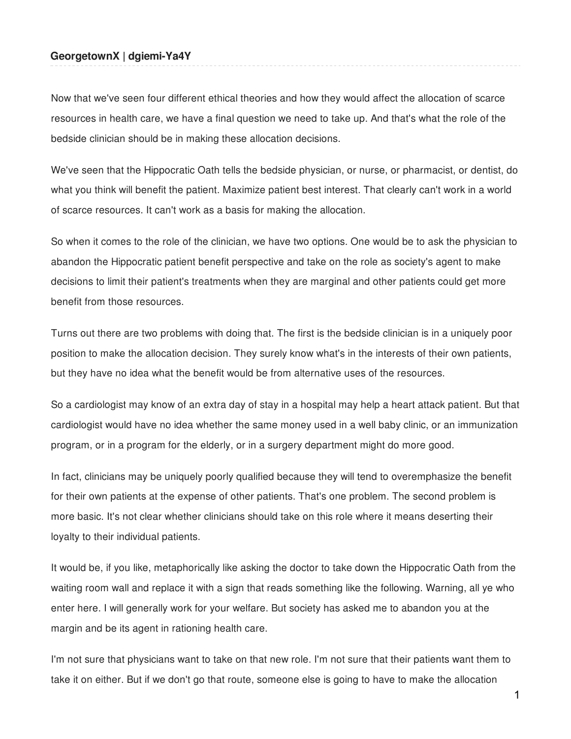## **GeorgetownX | dgiemi-Ya4Y**

Now that we've seen four different ethical theories and how they would affect the allocation of scarce resources in health care, we have a final question we need to take up. And that's what the role of the bedside clinician should be in making these allocation decisions.

We've seen that the Hippocratic Oath tells the bedside physician, or nurse, or pharmacist, or dentist, do what you think will benefit the patient. Maximize patient best interest. That clearly can't work in a world of scarce resources. It can't work as a basis for making the allocation.

So when it comes to the role of the clinician, we have two options. One would be to ask the physician to abandon the Hippocratic patient benefit perspective and take on the role as society's agent to make decisions to limit their patient's treatments when they are marginal and other patients could get more benefit from those resources.

Turns out there are two problems with doing that. The first is the bedside clinician is in a uniquely poor position to make the allocation decision. They surely know what's in the interests of their own patients, but they have no idea what the benefit would be from alternative uses of the resources.

So a cardiologist may know of an extra day of stay in a hospital may help a heart attack patient. But that cardiologist would have no idea whether the same money used in a well baby clinic, or an immunization program, or in a program for the elderly, or in a surgery department might do more good.

In fact, clinicians may be uniquely poorly qualified because they will tend to overemphasize the benefit for their own patients at the expense of other patients. That's one problem. The second problem is more basic. It's not clear whether clinicians should take on this role where it means deserting their loyalty to their individual patients.

It would be, if you like, metaphorically like asking the doctor to take down the Hippocratic Oath from the waiting room wall and replace it with a sign that reads something like the following. Warning, all ye who enter here. I will generally work for your welfare. But society has asked me to abandon you at the margin and be its agent in rationing health care.

I'm not sure that physicians want to take on that new role. I'm not sure that their patients want them to take it on either. But if we don't go that route, someone else is going to have to make the allocation